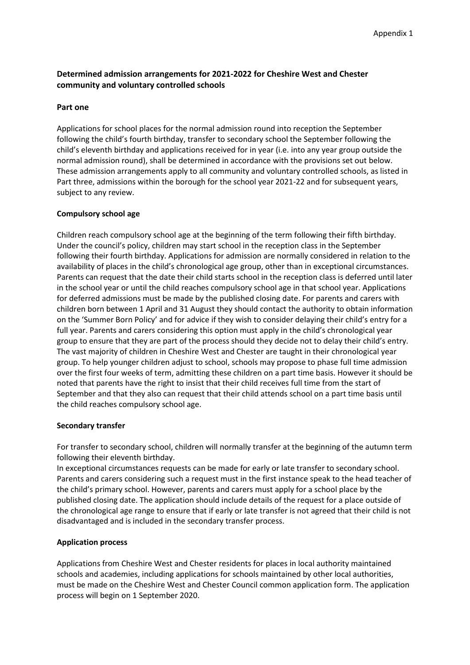# **Determined admission arrangements for 2021-2022 for Cheshire West and Chester community and voluntary controlled schools**

## **Part one**

Applications for school places for the normal admission round into reception the September following the child's fourth birthday, transfer to secondary school the September following the child's eleventh birthday and applications received for in year (i.e. into any year group outside the normal admission round), shall be determined in accordance with the provisions set out below. These admission arrangements apply to all community and voluntary controlled schools, as listed in Part three, admissions within the borough for the school year 2021-22 and for subsequent years, subject to any review.

## **Compulsory school age**

Children reach compulsory school age at the beginning of the term following their fifth birthday. Under the council's policy, children may start school in the reception class in the September following their fourth birthday. Applications for admission are normally considered in relation to the availability of places in the child's chronological age group, other than in exceptional circumstances. Parents can request that the date their child starts school in the reception class is deferred until later in the school year or until the child reaches compulsory school age in that school year. Applications for deferred admissions must be made by the published closing date. For parents and carers with children born between 1 April and 31 August they should contact the authority to obtain information on the 'Summer Born Policy' and for advice if they wish to consider delaying their child's entry for a full year. Parents and carers considering this option must apply in the child's chronological year group to ensure that they are part of the process should they decide not to delay their child's entry. The vast majority of children in Cheshire West and Chester are taught in their chronological year group. To help younger children adjust to school, schools may propose to phase full time admission over the first four weeks of term, admitting these children on a part time basis. However it should be noted that parents have the right to insist that their child receives full time from the start of September and that they also can request that their child attends school on a part time basis until the child reaches compulsory school age.

## **Secondary transfer**

For transfer to secondary school, children will normally transfer at the beginning of the autumn term following their eleventh birthday.

In exceptional circumstances requests can be made for early or late transfer to secondary school. Parents and carers considering such a request must in the first instance speak to the head teacher of the child's primary school. However, parents and carers must apply for a school place by the published closing date. The application should include details of the request for a place outside of the chronological age range to ensure that if early or late transfer is not agreed that their child is not disadvantaged and is included in the secondary transfer process.

## **Application process**

Applications from Cheshire West and Chester residents for places in local authority maintained schools and academies, including applications for schools maintained by other local authorities, must be made on the Cheshire West and Chester Council common application form. The application process will begin on 1 September 2020.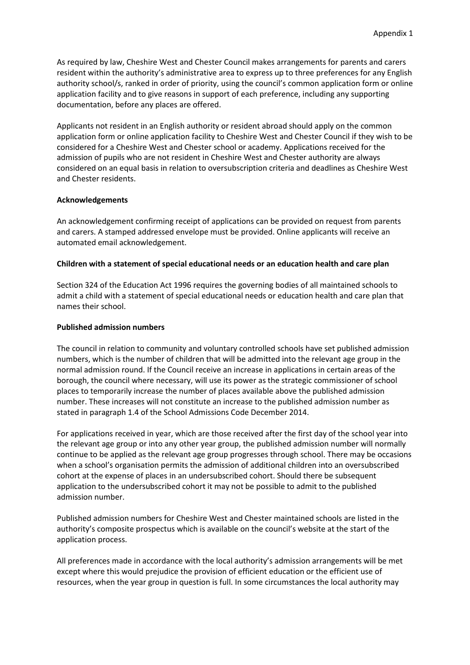As required by law, Cheshire West and Chester Council makes arrangements for parents and carers resident within the authority's administrative area to express up to three preferences for any English authority school/s, ranked in order of priority, using the council's common application form or online application facility and to give reasons in support of each preference, including any supporting documentation, before any places are offered.

Applicants not resident in an English authority or resident abroad should apply on the common application form or online application facility to Cheshire West and Chester Council if they wish to be considered for a Cheshire West and Chester school or academy. Applications received for the admission of pupils who are not resident in Cheshire West and Chester authority are always considered on an equal basis in relation to oversubscription criteria and deadlines as Cheshire West and Chester residents.

## **Acknowledgements**

An acknowledgement confirming receipt of applications can be provided on request from parents and carers. A stamped addressed envelope must be provided. Online applicants will receive an automated email acknowledgement.

## **Children with a statement of special educational needs or an education health and care plan**

Section 324 of the Education Act 1996 requires the governing bodies of all maintained schools to admit a child with a statement of special educational needs or education health and care plan that names their school.

## **Published admission numbers**

The council in relation to community and voluntary controlled schools have set published admission numbers, which is the number of children that will be admitted into the relevant age group in the normal admission round. If the Council receive an increase in applications in certain areas of the borough, the council where necessary, will use its power as the strategic commissioner of school places to temporarily increase the number of places available above the published admission number. These increases will not constitute an increase to the published admission number as stated in paragraph 1.4 of the School Admissions Code December 2014.

For applications received in year, which are those received after the first day of the school year into the relevant age group or into any other year group, the published admission number will normally continue to be applied as the relevant age group progresses through school. There may be occasions when a school's organisation permits the admission of additional children into an oversubscribed cohort at the expense of places in an undersubscribed cohort. Should there be subsequent application to the undersubscribed cohort it may not be possible to admit to the published admission number.

Published admission numbers for Cheshire West and Chester maintained schools are listed in the authority's composite prospectus which is available on the council's website at the start of the application process.

All preferences made in accordance with the local authority's admission arrangements will be met except where this would prejudice the provision of efficient education or the efficient use of resources, when the year group in question is full. In some circumstances the local authority may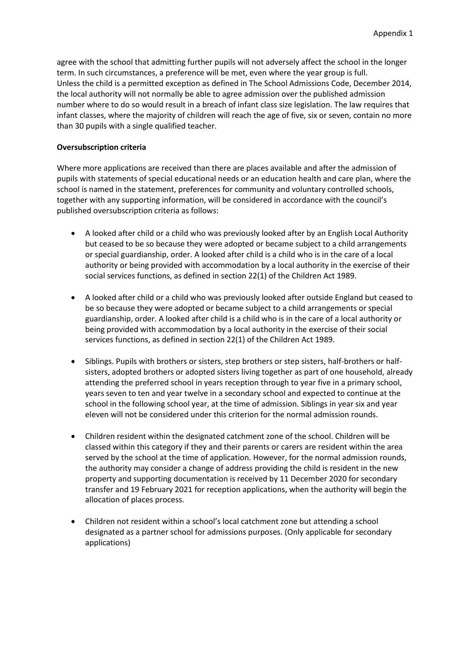agree with the school that admitting further pupils will not adversely affect the school in the longer term. In such circumstances, a preference will be met, even where the year group is full. Unless the child is a permitted exception as defined in The School Admissions Code, December 2014, the local authority will not normally be able to agree admission over the published admission number where to do so would result in a breach of infant class size legislation. The law requires that infant classes, where the majority of children will reach the age of five, six or seven, contain no more than 30 pupils with a single qualified teacher.

## **Oversubscription criteria**

Where more applications are received than there are places available and after the admission of pupils with statements of special educational needs or an education health and care plan, where the school is named in the statement, preferences for community and voluntary controlled schools, together with any supporting information, will be considered in accordance with the council's published oversubscription criteria as follows:

- A looked after child or a child who was previously looked after by an English Local Authority but ceased to be so because they were adopted or became subject to a child arrangements or special guardianship, order. A looked after child is a child who is in the care of a local authority or being provided with accommodation by a local authority in the exercise of their social services functions, as defined in section 22(1) of the Children Act 1989.
- A looked after child or a child who was previously looked after outside England but ceased to be so because they were adopted or became subject to a child arrangements or special guardianship, order. A looked after child is a child who is in the care of a local authority or being provided with accommodation by a local authority in the exercise of their social services functions, as defined in section 22(1) of the Children Act 1989.
- Siblings. Pupils with brothers or sisters, step brothers or step sisters, half-brothers or halfsisters, adopted brothers or adopted sisters living together as part of one household, already attending the preferred school in years reception through to year five in a primary school, years seven to ten and year twelve in a secondary school and expected to continue at the school in the following school year, at the time of admission. Siblings in year six and year eleven will not be considered under this criterion for the normal admission rounds.
- Children resident within the designated catchment zone of the school. Children will be classed within this category if they and their parents or carers are resident within the area served by the school at the time of application. However, for the normal admission rounds, the authority may consider a change of address providing the child is resident in the new property and supporting documentation is received by 11 December 2020 for secondary transfer and 19 February 2021 for reception applications, when the authority will begin the allocation of places process.
- Children not resident within a school's local catchment zone but attending a school designated as a partner school for admissions purposes. (Only applicable for secondary applications)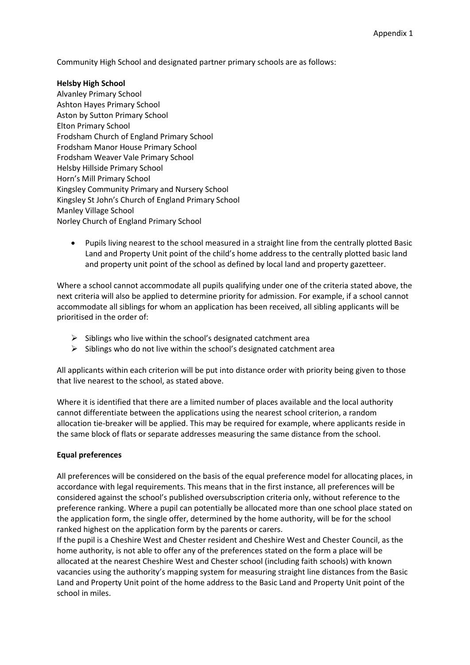Community High School and designated partner primary schools are as follows:

## **Helsby High School**

- Alvanley Primary School Ashton Hayes Primary School Aston by Sutton Primary School Elton Primary School Frodsham Church of England Primary School Frodsham Manor House Primary School Frodsham Weaver Vale Primary School Helsby Hillside Primary School Horn's Mill Primary School Kingsley Community Primary and Nursery School Kingsley St John's Church of England Primary School Manley Village School Norley Church of England Primary School
	- Pupils living nearest to the school measured in a straight line from the centrally plotted Basic Land and Property Unit point of the child's home address to the centrally plotted basic land and property unit point of the school as defined by local land and property gazetteer.

Where a school cannot accommodate all pupils qualifying under one of the criteria stated above, the next criteria will also be applied to determine priority for admission. For example, if a school cannot accommodate all siblings for whom an application has been received, all sibling applicants will be prioritised in the order of:

- $\triangleright$  Siblings who live within the school's designated catchment area
- $\triangleright$  Siblings who do not live within the school's designated catchment area

All applicants within each criterion will be put into distance order with priority being given to those that live nearest to the school, as stated above.

Where it is identified that there are a limited number of places available and the local authority cannot differentiate between the applications using the nearest school criterion, a random allocation tie-breaker will be applied. This may be required for example, where applicants reside in the same block of flats or separate addresses measuring the same distance from the school.

## **Equal preferences**

All preferences will be considered on the basis of the equal preference model for allocating places, in accordance with legal requirements. This means that in the first instance, all preferences will be considered against the school's published oversubscription criteria only, without reference to the preference ranking. Where a pupil can potentially be allocated more than one school place stated on the application form, the single offer, determined by the home authority, will be for the school ranked highest on the application form by the parents or carers.

If the pupil is a Cheshire West and Chester resident and Cheshire West and Chester Council, as the home authority, is not able to offer any of the preferences stated on the form a place will be allocated at the nearest Cheshire West and Chester school (including faith schools) with known vacancies using the authority's mapping system for measuring straight line distances from the Basic Land and Property Unit point of the home address to the Basic Land and Property Unit point of the school in miles.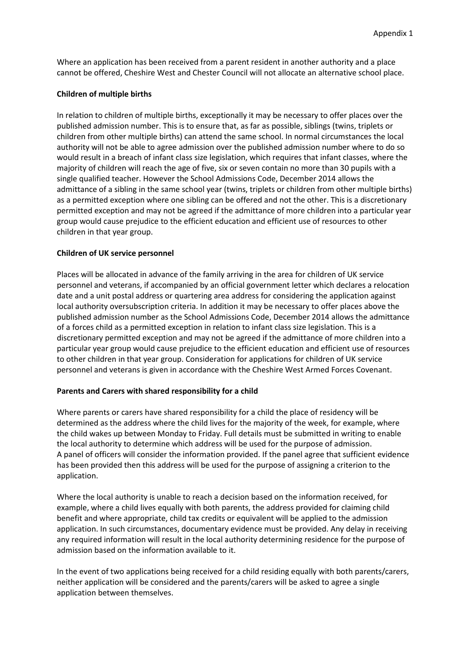Where an application has been received from a parent resident in another authority and a place cannot be offered, Cheshire West and Chester Council will not allocate an alternative school place.

## **Children of multiple births**

In relation to children of multiple births, exceptionally it may be necessary to offer places over the published admission number. This is to ensure that, as far as possible, siblings (twins, triplets or children from other multiple births) can attend the same school. In normal circumstances the local authority will not be able to agree admission over the published admission number where to do so would result in a breach of infant class size legislation, which requires that infant classes, where the majority of children will reach the age of five, six or seven contain no more than 30 pupils with a single qualified teacher. However the School Admissions Code, December 2014 allows the admittance of a sibling in the same school year (twins, triplets or children from other multiple births) as a permitted exception where one sibling can be offered and not the other. This is a discretionary permitted exception and may not be agreed if the admittance of more children into a particular year group would cause prejudice to the efficient education and efficient use of resources to other children in that year group.

## **Children of UK service personnel**

Places will be allocated in advance of the family arriving in the area for children of UK service personnel and veterans, if accompanied by an official government letter which declares a relocation date and a unit postal address or quartering area address for considering the application against local authority oversubscription criteria. In addition it may be necessary to offer places above the published admission number as the School Admissions Code, December 2014 allows the admittance of a forces child as a permitted exception in relation to infant class size legislation. This is a discretionary permitted exception and may not be agreed if the admittance of more children into a particular year group would cause prejudice to the efficient education and efficient use of resources to other children in that year group. Consideration for applications for children of UK service personnel and veterans is given in accordance with the Cheshire West Armed Forces Covenant.

## **Parents and Carers with shared responsibility for a child**

Where parents or carers have shared responsibility for a child the place of residency will be determined as the address where the child lives for the majority of the week, for example, where the child wakes up between Monday to Friday. Full details must be submitted in writing to enable the local authority to determine which address will be used for the purpose of admission. A panel of officers will consider the information provided. If the panel agree that sufficient evidence has been provided then this address will be used for the purpose of assigning a criterion to the application.

Where the local authority is unable to reach a decision based on the information received, for example, where a child lives equally with both parents, the address provided for claiming child benefit and where appropriate, child tax credits or equivalent will be applied to the admission application. In such circumstances, documentary evidence must be provided. Any delay in receiving any required information will result in the local authority determining residence for the purpose of admission based on the information available to it.

In the event of two applications being received for a child residing equally with both parents/carers, neither application will be considered and the parents/carers will be asked to agree a single application between themselves.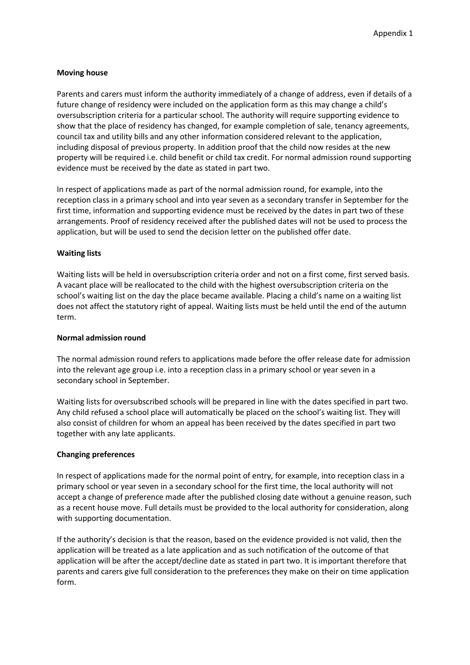#### **Moving house**

Parents and carers must inform the authority immediately of a change of address, even if details of a future change of residency were included on the application form as this may change a child's oversubscription criteria for a particular school. The authority will require supporting evidence to show that the place of residency has changed, for example completion of sale, tenancy agreements, council tax and utility bills and any other information considered relevant to the application, including disposal of previous property. In addition proof that the child now resides at the new property will be required i.e. child benefit or child tax credit. For normal admission round supporting evidence must be received by the date as stated in part two.

In respect of applications made as part of the normal admission round, for example, into the reception class in a primary school and into year seven as a secondary transfer in September for the first time, information and supporting evidence must be received by the dates in part two of these arrangements. Proof of residency received after the published dates will not be used to process the application, but will be used to send the decision letter on the published offer date.

#### **Waiting lists**

Waiting lists will be held in oversubscription criteria order and not on a first come, first served basis. A vacant place will be reallocated to the child with the highest oversubscription criteria on the school's waiting list on the day the place became available. Placing a child's name on a waiting list does not affect the statutory right of appeal. Waiting lists must be held until the end of the autumn term.

#### **Normal admission round**

The normal admission round refers to applications made before the offer release date for admission into the relevant age group i.e. into a reception class in a primary school or year seven in a secondary school in September.

Waiting lists for oversubscribed schools will be prepared in line with the dates specified in part two. Any child refused a school place will automatically be placed on the school's waiting list. They will also consist of children for whom an appeal has been received by the dates specified in part two together with any late applicants.

## **Changing preferences**

In respect of applications made for the normal point of entry, for example, into reception class in a primary school or year seven in a secondary school for the first time, the local authority will not accept a change of preference made after the published closing date without a genuine reason, such as a recent house move. Full details must be provided to the local authority for consideration, along with supporting documentation.

If the authority's decision is that the reason, based on the evidence provided is not valid, then the application will be treated as a late application and as such notification of the outcome of that application will be after the accept/decline date as stated in part two. It is important therefore that parents and carers give full consideration to the preferences they make on their on time application form.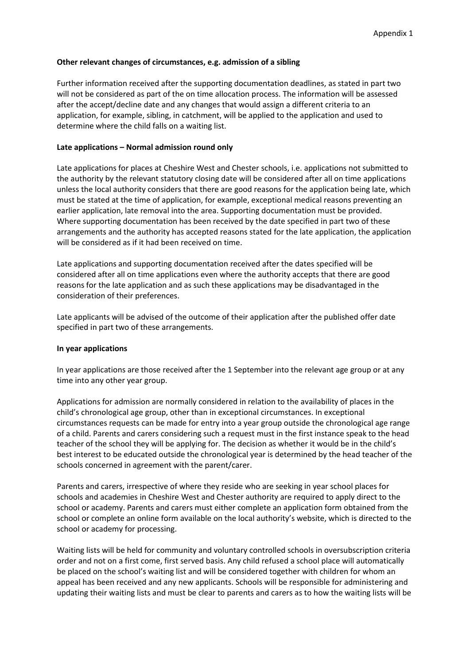## **Other relevant changes of circumstances, e.g. admission of a sibling**

Further information received after the supporting documentation deadlines, as stated in part two will not be considered as part of the on time allocation process. The information will be assessed after the accept/decline date and any changes that would assign a different criteria to an application, for example, sibling, in catchment, will be applied to the application and used to determine where the child falls on a waiting list.

## **Late applications – Normal admission round only**

Late applications for places at Cheshire West and Chester schools, i.e. applications not submitted to the authority by the relevant statutory closing date will be considered after all on time applications unless the local authority considers that there are good reasons for the application being late, which must be stated at the time of application, for example, exceptional medical reasons preventing an earlier application, late removal into the area. Supporting documentation must be provided. Where supporting documentation has been received by the date specified in part two of these arrangements and the authority has accepted reasons stated for the late application, the application will be considered as if it had been received on time.

Late applications and supporting documentation received after the dates specified will be considered after all on time applications even where the authority accepts that there are good reasons for the late application and as such these applications may be disadvantaged in the consideration of their preferences.

Late applicants will be advised of the outcome of their application after the published offer date specified in part two of these arrangements.

## **In year applications**

In year applications are those received after the 1 September into the relevant age group or at any time into any other year group.

Applications for admission are normally considered in relation to the availability of places in the child's chronological age group, other than in exceptional circumstances. In exceptional circumstances requests can be made for entry into a year group outside the chronological age range of a child. Parents and carers considering such a request must in the first instance speak to the head teacher of the school they will be applying for. The decision as whether it would be in the child's best interest to be educated outside the chronological year is determined by the head teacher of the schools concerned in agreement with the parent/carer.

Parents and carers, irrespective of where they reside who are seeking in year school places for schools and academies in Cheshire West and Chester authority are required to apply direct to the school or academy. Parents and carers must either complete an application form obtained from the school or complete an online form available on the local authority's website, which is directed to the school or academy for processing.

Waiting lists will be held for community and voluntary controlled schools in oversubscription criteria order and not on a first come, first served basis. Any child refused a school place will automatically be placed on the school's waiting list and will be considered together with children for whom an appeal has been received and any new applicants. Schools will be responsible for administering and updating their waiting lists and must be clear to parents and carers as to how the waiting lists will be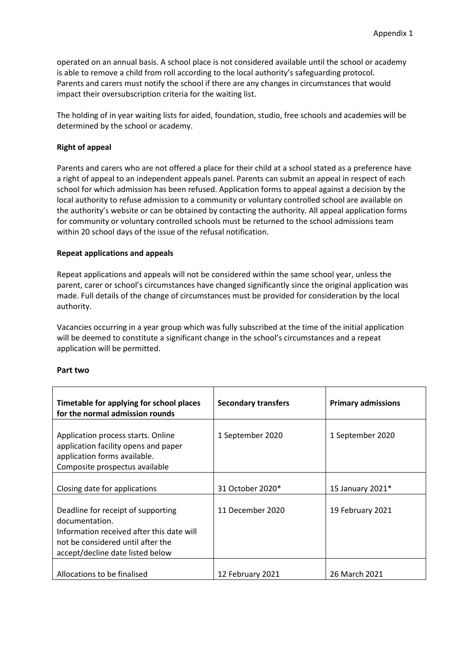operated on an annual basis. A school place is not considered available until the school or academy is able to remove a child from roll according to the local authority's safeguarding protocol. Parents and carers must notify the school if there are any changes in circumstances that would impact their oversubscription criteria for the waiting list.

The holding of in year waiting lists for aided, foundation, studio, free schools and academies will be determined by the school or academy.

#### **Right of appeal**

Parents and carers who are not offered a place for their child at a school stated as a preference have a right of appeal to an independent appeals panel. Parents can submit an appeal in respect of each school for which admission has been refused. Application forms to appeal against a decision by the local authority to refuse admission to a community or voluntary controlled school are available on the authority's website or can be obtained by contacting the authority. All appeal application forms for community or voluntary controlled schools must be returned to the school admissions team within 20 school days of the issue of the refusal notification.

#### **Repeat applications and appeals**

Repeat applications and appeals will not be considered within the same school year, unless the parent, carer or school's circumstances have changed significantly since the original application was made. Full details of the change of circumstances must be provided for consideration by the local authority.

Vacancies occurring in a year group which was fully subscribed at the time of the initial application will be deemed to constitute a significant change in the school's circumstances and a repeat application will be permitted.

#### **Part two**

| Timetable for applying for school places<br>for the normal admission rounds                                                                                                | <b>Secondary transfers</b> | <b>Primary admissions</b> |
|----------------------------------------------------------------------------------------------------------------------------------------------------------------------------|----------------------------|---------------------------|
| Application process starts. Online<br>application facility opens and paper<br>application forms available.<br>Composite prospectus available                               | 1 September 2020           | 1 September 2020          |
| Closing date for applications                                                                                                                                              | 31 October 2020*           | 15 January 2021*          |
| Deadline for receipt of supporting<br>documentation.<br>Information received after this date will<br>not be considered until after the<br>accept/decline date listed below | 11 December 2020           | 19 February 2021          |
| Allocations to be finalised                                                                                                                                                | 12 February 2021           | 26 March 2021             |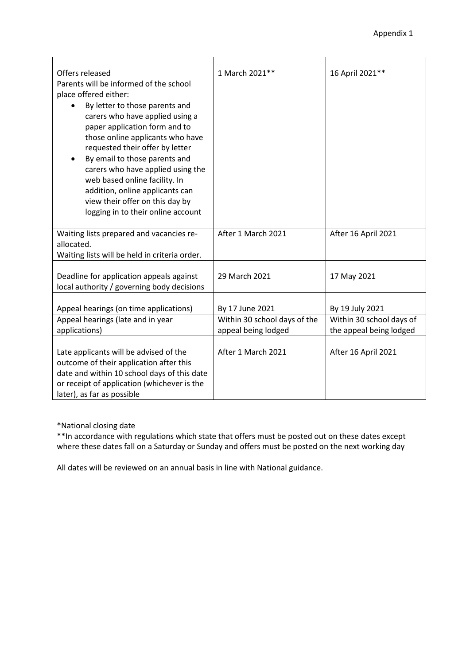| Offers released<br>Parents will be informed of the school<br>place offered either:<br>By letter to those parents and<br>carers who have applied using a<br>paper application form and to<br>those online applicants who have<br>requested their offer by letter<br>By email to those parents and<br>carers who have applied using the<br>web based online facility. In<br>addition, online applicants can<br>view their offer on this day by<br>logging in to their online account | 1 March 2021**                                  | 16 April 2021 **                            |
|------------------------------------------------------------------------------------------------------------------------------------------------------------------------------------------------------------------------------------------------------------------------------------------------------------------------------------------------------------------------------------------------------------------------------------------------------------------------------------|-------------------------------------------------|---------------------------------------------|
| Waiting lists prepared and vacancies re-<br>allocated.<br>Waiting lists will be held in criteria order.                                                                                                                                                                                                                                                                                                                                                                            | After 1 March 2021                              | After 16 April 2021                         |
| Deadline for application appeals against<br>local authority / governing body decisions                                                                                                                                                                                                                                                                                                                                                                                             | 29 March 2021                                   | 17 May 2021                                 |
| Appeal hearings (on time applications)<br>Appeal hearings (late and in year                                                                                                                                                                                                                                                                                                                                                                                                        | By 17 June 2021<br>Within 30 school days of the | By 19 July 2021<br>Within 30 school days of |
| applications)                                                                                                                                                                                                                                                                                                                                                                                                                                                                      | appeal being lodged                             | the appeal being lodged                     |
| Late applicants will be advised of the<br>outcome of their application after this<br>date and within 10 school days of this date<br>or receipt of application (whichever is the<br>later), as far as possible                                                                                                                                                                                                                                                                      | After 1 March 2021                              | After 16 April 2021                         |

\*National closing date

\*\*In accordance with regulations which state that offers must be posted out on these dates except where these dates fall on a Saturday or Sunday and offers must be posted on the next working day

All dates will be reviewed on an annual basis in line with National guidance.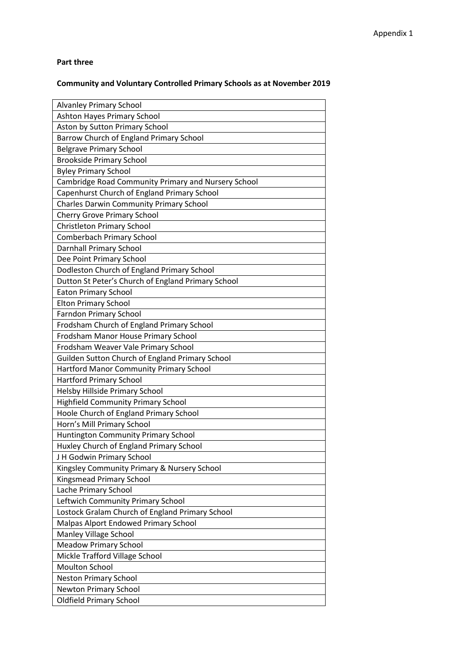## **Part three**

# **Community and Voluntary Controlled Primary Schools as at November 2019**

| Ashton Hayes Primary School<br>Aston by Sutton Primary School<br>Barrow Church of England Primary School<br><b>Belgrave Primary School</b><br><b>Brookside Primary School</b><br><b>Byley Primary School</b><br>Cambridge Road Community Primary and Nursery School<br>Capenhurst Church of England Primary School<br><b>Charles Darwin Community Primary School</b><br><b>Cherry Grove Primary School</b><br><b>Christleton Primary School</b><br>Comberbach Primary School<br><b>Darnhall Primary School</b><br>Dee Point Primary School<br>Dodleston Church of England Primary School<br>Dutton St Peter's Church of England Primary School<br><b>Eaton Primary School</b><br><b>Elton Primary School</b><br><b>Farndon Primary School</b><br>Frodsham Church of England Primary School<br>Frodsham Manor House Primary School<br>Frodsham Weaver Vale Primary School<br>Guilden Sutton Church of England Primary School<br>Hartford Manor Community Primary School<br><b>Hartford Primary School</b><br>Helsby Hillside Primary School<br><b>Highfield Community Primary School</b><br>Hoole Church of England Primary School<br>Horn's Mill Primary School<br><b>Huntington Community Primary School</b><br>Huxley Church of England Primary School<br>J H Godwin Primary School<br>Kingsley Community Primary & Nursery School<br>Kingsmead Primary School<br>Lache Primary School<br>Leftwich Community Primary School<br>Lostock Gralam Church of England Primary School<br>Malpas Alport Endowed Primary School<br>Manley Village School |
|---------------------------------------------------------------------------------------------------------------------------------------------------------------------------------------------------------------------------------------------------------------------------------------------------------------------------------------------------------------------------------------------------------------------------------------------------------------------------------------------------------------------------------------------------------------------------------------------------------------------------------------------------------------------------------------------------------------------------------------------------------------------------------------------------------------------------------------------------------------------------------------------------------------------------------------------------------------------------------------------------------------------------------------------------------------------------------------------------------------------------------------------------------------------------------------------------------------------------------------------------------------------------------------------------------------------------------------------------------------------------------------------------------------------------------------------------------------------------------------------------------------------------------------------------|
|                                                                                                                                                                                                                                                                                                                                                                                                                                                                                                                                                                                                                                                                                                                                                                                                                                                                                                                                                                                                                                                                                                                                                                                                                                                                                                                                                                                                                                                                                                                                                   |
|                                                                                                                                                                                                                                                                                                                                                                                                                                                                                                                                                                                                                                                                                                                                                                                                                                                                                                                                                                                                                                                                                                                                                                                                                                                                                                                                                                                                                                                                                                                                                   |
|                                                                                                                                                                                                                                                                                                                                                                                                                                                                                                                                                                                                                                                                                                                                                                                                                                                                                                                                                                                                                                                                                                                                                                                                                                                                                                                                                                                                                                                                                                                                                   |
|                                                                                                                                                                                                                                                                                                                                                                                                                                                                                                                                                                                                                                                                                                                                                                                                                                                                                                                                                                                                                                                                                                                                                                                                                                                                                                                                                                                                                                                                                                                                                   |
|                                                                                                                                                                                                                                                                                                                                                                                                                                                                                                                                                                                                                                                                                                                                                                                                                                                                                                                                                                                                                                                                                                                                                                                                                                                                                                                                                                                                                                                                                                                                                   |
|                                                                                                                                                                                                                                                                                                                                                                                                                                                                                                                                                                                                                                                                                                                                                                                                                                                                                                                                                                                                                                                                                                                                                                                                                                                                                                                                                                                                                                                                                                                                                   |
|                                                                                                                                                                                                                                                                                                                                                                                                                                                                                                                                                                                                                                                                                                                                                                                                                                                                                                                                                                                                                                                                                                                                                                                                                                                                                                                                                                                                                                                                                                                                                   |
|                                                                                                                                                                                                                                                                                                                                                                                                                                                                                                                                                                                                                                                                                                                                                                                                                                                                                                                                                                                                                                                                                                                                                                                                                                                                                                                                                                                                                                                                                                                                                   |
|                                                                                                                                                                                                                                                                                                                                                                                                                                                                                                                                                                                                                                                                                                                                                                                                                                                                                                                                                                                                                                                                                                                                                                                                                                                                                                                                                                                                                                                                                                                                                   |
|                                                                                                                                                                                                                                                                                                                                                                                                                                                                                                                                                                                                                                                                                                                                                                                                                                                                                                                                                                                                                                                                                                                                                                                                                                                                                                                                                                                                                                                                                                                                                   |
|                                                                                                                                                                                                                                                                                                                                                                                                                                                                                                                                                                                                                                                                                                                                                                                                                                                                                                                                                                                                                                                                                                                                                                                                                                                                                                                                                                                                                                                                                                                                                   |
|                                                                                                                                                                                                                                                                                                                                                                                                                                                                                                                                                                                                                                                                                                                                                                                                                                                                                                                                                                                                                                                                                                                                                                                                                                                                                                                                                                                                                                                                                                                                                   |
|                                                                                                                                                                                                                                                                                                                                                                                                                                                                                                                                                                                                                                                                                                                                                                                                                                                                                                                                                                                                                                                                                                                                                                                                                                                                                                                                                                                                                                                                                                                                                   |
|                                                                                                                                                                                                                                                                                                                                                                                                                                                                                                                                                                                                                                                                                                                                                                                                                                                                                                                                                                                                                                                                                                                                                                                                                                                                                                                                                                                                                                                                                                                                                   |
|                                                                                                                                                                                                                                                                                                                                                                                                                                                                                                                                                                                                                                                                                                                                                                                                                                                                                                                                                                                                                                                                                                                                                                                                                                                                                                                                                                                                                                                                                                                                                   |
|                                                                                                                                                                                                                                                                                                                                                                                                                                                                                                                                                                                                                                                                                                                                                                                                                                                                                                                                                                                                                                                                                                                                                                                                                                                                                                                                                                                                                                                                                                                                                   |
|                                                                                                                                                                                                                                                                                                                                                                                                                                                                                                                                                                                                                                                                                                                                                                                                                                                                                                                                                                                                                                                                                                                                                                                                                                                                                                                                                                                                                                                                                                                                                   |
|                                                                                                                                                                                                                                                                                                                                                                                                                                                                                                                                                                                                                                                                                                                                                                                                                                                                                                                                                                                                                                                                                                                                                                                                                                                                                                                                                                                                                                                                                                                                                   |
|                                                                                                                                                                                                                                                                                                                                                                                                                                                                                                                                                                                                                                                                                                                                                                                                                                                                                                                                                                                                                                                                                                                                                                                                                                                                                                                                                                                                                                                                                                                                                   |
|                                                                                                                                                                                                                                                                                                                                                                                                                                                                                                                                                                                                                                                                                                                                                                                                                                                                                                                                                                                                                                                                                                                                                                                                                                                                                                                                                                                                                                                                                                                                                   |
|                                                                                                                                                                                                                                                                                                                                                                                                                                                                                                                                                                                                                                                                                                                                                                                                                                                                                                                                                                                                                                                                                                                                                                                                                                                                                                                                                                                                                                                                                                                                                   |
|                                                                                                                                                                                                                                                                                                                                                                                                                                                                                                                                                                                                                                                                                                                                                                                                                                                                                                                                                                                                                                                                                                                                                                                                                                                                                                                                                                                                                                                                                                                                                   |
|                                                                                                                                                                                                                                                                                                                                                                                                                                                                                                                                                                                                                                                                                                                                                                                                                                                                                                                                                                                                                                                                                                                                                                                                                                                                                                                                                                                                                                                                                                                                                   |
|                                                                                                                                                                                                                                                                                                                                                                                                                                                                                                                                                                                                                                                                                                                                                                                                                                                                                                                                                                                                                                                                                                                                                                                                                                                                                                                                                                                                                                                                                                                                                   |
|                                                                                                                                                                                                                                                                                                                                                                                                                                                                                                                                                                                                                                                                                                                                                                                                                                                                                                                                                                                                                                                                                                                                                                                                                                                                                                                                                                                                                                                                                                                                                   |
|                                                                                                                                                                                                                                                                                                                                                                                                                                                                                                                                                                                                                                                                                                                                                                                                                                                                                                                                                                                                                                                                                                                                                                                                                                                                                                                                                                                                                                                                                                                                                   |
|                                                                                                                                                                                                                                                                                                                                                                                                                                                                                                                                                                                                                                                                                                                                                                                                                                                                                                                                                                                                                                                                                                                                                                                                                                                                                                                                                                                                                                                                                                                                                   |
|                                                                                                                                                                                                                                                                                                                                                                                                                                                                                                                                                                                                                                                                                                                                                                                                                                                                                                                                                                                                                                                                                                                                                                                                                                                                                                                                                                                                                                                                                                                                                   |
|                                                                                                                                                                                                                                                                                                                                                                                                                                                                                                                                                                                                                                                                                                                                                                                                                                                                                                                                                                                                                                                                                                                                                                                                                                                                                                                                                                                                                                                                                                                                                   |
|                                                                                                                                                                                                                                                                                                                                                                                                                                                                                                                                                                                                                                                                                                                                                                                                                                                                                                                                                                                                                                                                                                                                                                                                                                                                                                                                                                                                                                                                                                                                                   |
|                                                                                                                                                                                                                                                                                                                                                                                                                                                                                                                                                                                                                                                                                                                                                                                                                                                                                                                                                                                                                                                                                                                                                                                                                                                                                                                                                                                                                                                                                                                                                   |
|                                                                                                                                                                                                                                                                                                                                                                                                                                                                                                                                                                                                                                                                                                                                                                                                                                                                                                                                                                                                                                                                                                                                                                                                                                                                                                                                                                                                                                                                                                                                                   |
|                                                                                                                                                                                                                                                                                                                                                                                                                                                                                                                                                                                                                                                                                                                                                                                                                                                                                                                                                                                                                                                                                                                                                                                                                                                                                                                                                                                                                                                                                                                                                   |
|                                                                                                                                                                                                                                                                                                                                                                                                                                                                                                                                                                                                                                                                                                                                                                                                                                                                                                                                                                                                                                                                                                                                                                                                                                                                                                                                                                                                                                                                                                                                                   |
|                                                                                                                                                                                                                                                                                                                                                                                                                                                                                                                                                                                                                                                                                                                                                                                                                                                                                                                                                                                                                                                                                                                                                                                                                                                                                                                                                                                                                                                                                                                                                   |
|                                                                                                                                                                                                                                                                                                                                                                                                                                                                                                                                                                                                                                                                                                                                                                                                                                                                                                                                                                                                                                                                                                                                                                                                                                                                                                                                                                                                                                                                                                                                                   |
|                                                                                                                                                                                                                                                                                                                                                                                                                                                                                                                                                                                                                                                                                                                                                                                                                                                                                                                                                                                                                                                                                                                                                                                                                                                                                                                                                                                                                                                                                                                                                   |
|                                                                                                                                                                                                                                                                                                                                                                                                                                                                                                                                                                                                                                                                                                                                                                                                                                                                                                                                                                                                                                                                                                                                                                                                                                                                                                                                                                                                                                                                                                                                                   |
|                                                                                                                                                                                                                                                                                                                                                                                                                                                                                                                                                                                                                                                                                                                                                                                                                                                                                                                                                                                                                                                                                                                                                                                                                                                                                                                                                                                                                                                                                                                                                   |
| <b>Meadow Primary School</b>                                                                                                                                                                                                                                                                                                                                                                                                                                                                                                                                                                                                                                                                                                                                                                                                                                                                                                                                                                                                                                                                                                                                                                                                                                                                                                                                                                                                                                                                                                                      |
| Mickle Trafford Village School                                                                                                                                                                                                                                                                                                                                                                                                                                                                                                                                                                                                                                                                                                                                                                                                                                                                                                                                                                                                                                                                                                                                                                                                                                                                                                                                                                                                                                                                                                                    |
| <b>Moulton School</b>                                                                                                                                                                                                                                                                                                                                                                                                                                                                                                                                                                                                                                                                                                                                                                                                                                                                                                                                                                                                                                                                                                                                                                                                                                                                                                                                                                                                                                                                                                                             |
| <b>Neston Primary School</b>                                                                                                                                                                                                                                                                                                                                                                                                                                                                                                                                                                                                                                                                                                                                                                                                                                                                                                                                                                                                                                                                                                                                                                                                                                                                                                                                                                                                                                                                                                                      |
|                                                                                                                                                                                                                                                                                                                                                                                                                                                                                                                                                                                                                                                                                                                                                                                                                                                                                                                                                                                                                                                                                                                                                                                                                                                                                                                                                                                                                                                                                                                                                   |
| Newton Primary School                                                                                                                                                                                                                                                                                                                                                                                                                                                                                                                                                                                                                                                                                                                                                                                                                                                                                                                                                                                                                                                                                                                                                                                                                                                                                                                                                                                                                                                                                                                             |